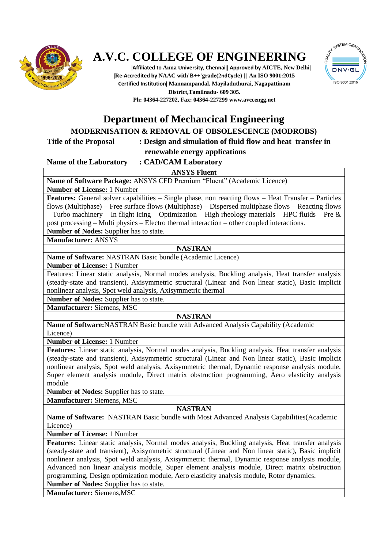

# **A.V.C. COLLEGE OF ENGINEERING**

**|Affiliated to Anna University, Chennai|| Approved by AICTE, New Delhi| |Re-Accredited by NAAC with'B++'grade(2ndCycle) || An ISO 9001:2015 Certified Institution| Mannampandal, Mayiladuthurai, Nagapattinam District,Tamilnadu- 609 305. Ph: 04364-227202, Fax: 04364-22729[9 www.avccengg.net](http://www.avccengg.net/)**



## **Department of Mechancical Engineering**

### **MODERNISATION & REMOVAL OF OBSOLESCENCE (MODROBS)**

#### **Title of the Proposal : Design and simulation of fluid flow and heat transfer in renewable energy applications**

#### **Name of the Laboratory : CAD/CAM Laboratory**

#### **ANSYS Fluent**

**Name of Software Package:** ANSYS CFD Premium "Fluent" (Academic Licence)

**Number of License:** 1 Number

**Features:** General solver capabilities – Single phase, non reacting flows – Heat Transfer – Particles flows (Multiphase) – Free surface flows (Multiphase) – Dispersed multiphase flows – Reacting flows – Turbo machinery – In flight icing – Optimization – High rheology materials – HPC fluids – Pre & post processing – Multi physics – Electro thermal interaction – other coupled interactions.

**Number of Nodes:** Supplier has to state.

#### **Manufacturer:** ANSYS

#### **NASTRAN**

**Name of Software:** NASTRAN Basic bundle (Academic Licence)

**Number of License:** 1 Number

Features: Linear static analysis, Normal modes analysis, Buckling analysis, Heat transfer analysis (steady-state and transient), Axisymmetric structural (Linear and Non linear static), Basic implicit nonlinear analysis, Spot weld analysis, Axisymmetric thermal

**Number of Nodes:** Supplier has to state.

**Manufacturer:** Siemens, MSC

#### **NASTRAN**

**Name of Software:**NASTRAN Basic bundle with Advanced Analysis Capability (Academic Licence)

**Number of License:** 1 Number

**Features:** Linear static analysis, Normal modes analysis, Buckling analysis, Heat transfer analysis (steady-state and transient), Axisymmetric structural (Linear and Non linear static), Basic implicit nonlinear analysis, Spot weld analysis, Axisymmetric thermal, Dynamic response analysis module, Super element analysis module, Direct matrix obstruction programming, Aero elasticity analysis module

**Number of Nodes:** Supplier has to state.

**Manufacturer:** Siemens, MSC

#### **NASTRAN**

**Name of Software:** NASTRAN Basic bundle with Most Advanced Analysis Capabilities(Academic Licence)

**Number of License:** 1 Number

**Features:** Linear static analysis, Normal modes analysis, Buckling analysis, Heat transfer analysis (steady-state and transient), Axisymmetric structural (Linear and Non linear static), Basic implicit nonlinear analysis, Spot weld analysis, Axisymmetric thermal, Dynamic response analysis module, Advanced non linear analysis module, Super element analysis module, Direct matrix obstruction programming, Design optimization module, Aero elasticity analysis module, Rotor dynamics.

**Number of Nodes:** Supplier has to state.

**Manufacturer:** Siemens,MSC